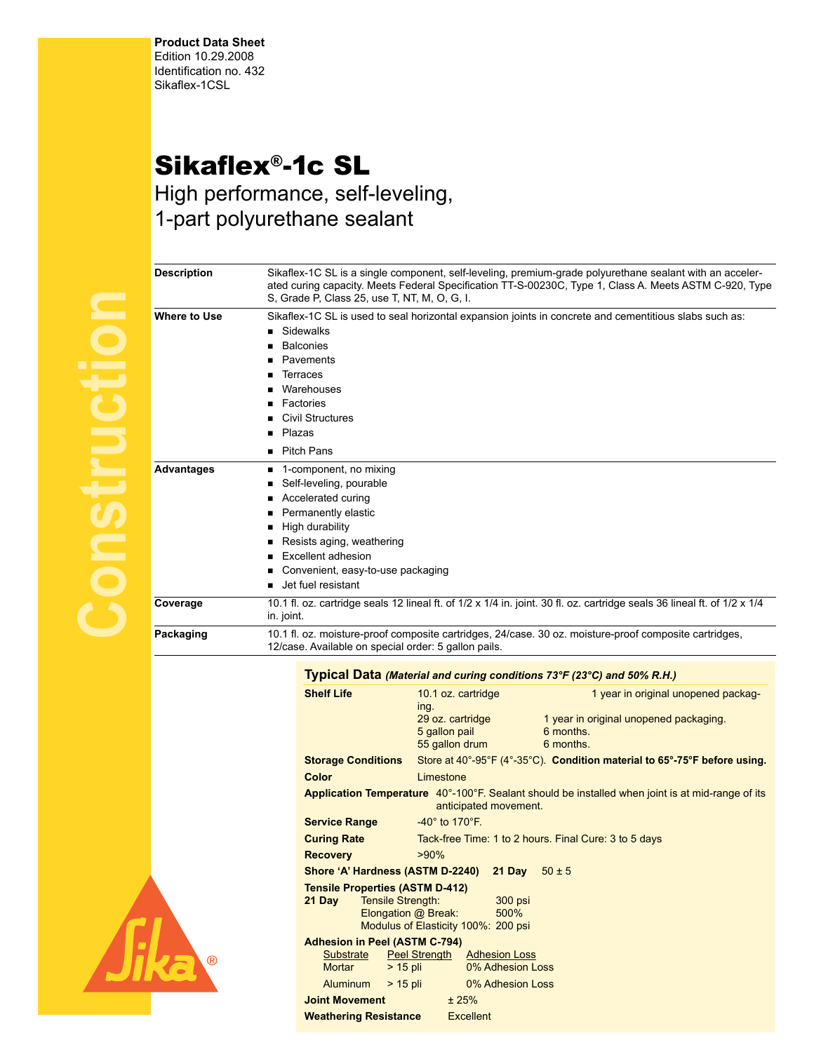**Product Data Sheet** Edition 10.29.2008 Identification no. 432 Sikaflex-1CSL

## Sikaflex®-1c SL

High performance, self-leveling, 1-part polyurethane sealant

| ٠ |
|---|
|   |
|   |
|   |
|   |
|   |
|   |
|   |
|   |
|   |
|   |
|   |
|   |
|   |
|   |
|   |
|   |
|   |
|   |
|   |
| I |
|   |
|   |
|   |

|              | ated curing capacity. Meets Federal Specification TT-S-00230C, Type 1, Class A. Meets ASTM C-920, Type<br>S. Grade P. Class 25, use T. NT, M. O. G. I.                                                                                  |  |  |  |  |  |
|--------------|-----------------------------------------------------------------------------------------------------------------------------------------------------------------------------------------------------------------------------------------|--|--|--|--|--|
| Where to Use | Sikaflex-1C SL is used to seal horizontal expansion joints in concrete and cementitious slabs such as:<br>Sidewalks<br><b>Balconies</b><br>Pavements<br><b>Terraces</b><br>Warehouses<br>Factories<br><b>Civil Structures</b><br>Plazas |  |  |  |  |  |
|              | ■ Pitch Pans                                                                                                                                                                                                                            |  |  |  |  |  |
| Advantages   | 1-component, no mixing<br>Self-leveling, pourable<br>Accelerated curing<br>Permanently elastic<br>High durability<br>Resists aging, weathering<br>Excellent adhesion<br>Convenient, easy-to-use packaging<br>Jet fuel resistant         |  |  |  |  |  |
| Coverage     | 10.1 fl. oz. cartridge seals 12 lineal ft. of 1/2 x 1/4 in. joint. 30 fl. oz. cartridge seals 36 lineal ft. of 1/2 x 1/4<br>in. joint.                                                                                                  |  |  |  |  |  |
| Packaging    | 10.1 fl. oz. moisture-proof composite cartridges, 24/case. 30 oz. moisture-proof composite cartridges,<br>12/case. Available on special order: 5 gallon pails.                                                                          |  |  |  |  |  |
|              |                                                                                                                                                                                                                                         |  |  |  |  |  |

**Description** Sikaflex-1C SL is a single component, self-leveling, premium-grade polyurethane sealant with an acceler-



|                                                   |                                                            | Typical Data (Material and curing conditions 73°F (23°C) and 50% R.H.)                           |  |  |  |  |  |
|---------------------------------------------------|------------------------------------------------------------|--------------------------------------------------------------------------------------------------|--|--|--|--|--|
| <b>Shelf Life</b>                                 | 10.1 oz. cartridge<br>ing.                                 | 1 year in original unopened packag-                                                              |  |  |  |  |  |
|                                                   | 29 oz. cartridge<br>5 gallon pail<br>55 gallon drum        | 1 year in original unopened packaging.<br>6 months.<br>6 months.                                 |  |  |  |  |  |
| <b>Storage Conditions</b>                         |                                                            | Store at $40^{\circ}$ -95°F (4°-35°C). Condition material to 65°-75°F before using.              |  |  |  |  |  |
| Color                                             | Limestone                                                  |                                                                                                  |  |  |  |  |  |
|                                                   | anticipated movement.                                      | Application Temperature 40°-100°F. Sealant should be installed when joint is at mid-range of its |  |  |  |  |  |
| <b>Service Range</b>                              | $-40^\circ$ to 170 $\degree$ F.                            |                                                                                                  |  |  |  |  |  |
| <b>Curing Rate</b>                                |                                                            | Tack-free Time: 1 to 2 hours. Final Cure: 3 to 5 days                                            |  |  |  |  |  |
| <b>Recovery</b>                                   | $>90\%$                                                    |                                                                                                  |  |  |  |  |  |
|                                                   | Shore 'A' Hardness (ASTM D-2240) 21 Day                    | $50 \pm 5$                                                                                       |  |  |  |  |  |
| <b>Tensile Properties (ASTM D-412)</b>            |                                                            |                                                                                                  |  |  |  |  |  |
| <b>Tensile Strength:</b><br>21 Dav                | 300 psi<br>500%                                            |                                                                                                  |  |  |  |  |  |
|                                                   | Elongation @ Break:<br>Modulus of Elasticity 100%: 200 psi |                                                                                                  |  |  |  |  |  |
| <b>Adhesion in Peel (ASTM C-794)</b><br>Substrate | <b>Peel Strength</b><br><b>Adhesion Loss</b>               |                                                                                                  |  |  |  |  |  |
| $> 15$ pli<br><b>Mortar</b>                       | 0% Adhesion Loss                                           |                                                                                                  |  |  |  |  |  |
| Aluminum<br>$>$ 15 pli                            | <b>Example 10% Adhesion Loss</b>                           |                                                                                                  |  |  |  |  |  |
| <b>Joint Movement</b>                             | ± 25%                                                      |                                                                                                  |  |  |  |  |  |
| <b>Weathering Resistance</b>                      | <b>Excellent</b>                                           |                                                                                                  |  |  |  |  |  |